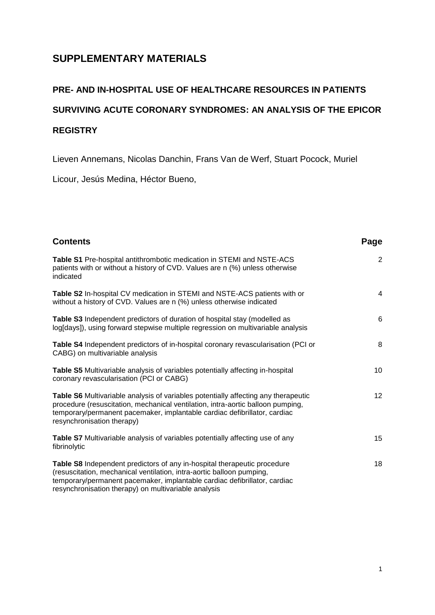#### **SUPPLEMENTARY MATERIALS**

# **PRE- AND IN-HOSPITAL USE OF HEALTHCARE RESOURCES IN PATIENTS SURVIVING ACUTE CORONARY SYNDROMES: AN ANALYSIS OF THE EPICOR REGISTRY**

Lieven Annemans, Nicolas Danchin, Frans Van de Werf, Stuart Pocock, Muriel

Licour, Jesús Medina, Héctor Bueno,

| <b>Contents</b>                                                                                                                                                                                                                                                                        | Page           |
|----------------------------------------------------------------------------------------------------------------------------------------------------------------------------------------------------------------------------------------------------------------------------------------|----------------|
| Table S1 Pre-hospital antithrombotic medication in STEMI and NSTE-ACS<br>patients with or without a history of CVD. Values are n (%) unless otherwise<br>indicated                                                                                                                     | 2              |
| Table S2 In-hospital CV medication in STEMI and NSTE-ACS patients with or<br>without a history of CVD. Values are n (%) unless otherwise indicated                                                                                                                                     | $\overline{4}$ |
| Table S3 Independent predictors of duration of hospital stay (modelled as<br>log[days]), using forward stepwise multiple regression on multivariable analysis                                                                                                                          | 6              |
| Table S4 Independent predictors of in-hospital coronary revascularisation (PCI or<br>CABG) on multivariable analysis                                                                                                                                                                   | 8              |
| Table S5 Multivariable analysis of variables potentially affecting in-hospital<br>coronary revascularisation (PCI or CABG)                                                                                                                                                             | 10             |
| Table S6 Multivariable analysis of variables potentially affecting any therapeutic<br>procedure (resuscitation, mechanical ventilation, intra-aortic balloon pumping,<br>temporary/permanent pacemaker, implantable cardiac defibrillator, cardiac<br>resynchronisation therapy)       | 12             |
| Table S7 Multivariable analysis of variables potentially affecting use of any<br>fibrinolytic                                                                                                                                                                                          | 15             |
| Table S8 Independent predictors of any in-hospital therapeutic procedure<br>(resuscitation, mechanical ventilation, intra-aortic balloon pumping,<br>temporary/permanent pacemaker, implantable cardiac defibrillator, cardiac<br>resynchronisation therapy) on multivariable analysis | 18             |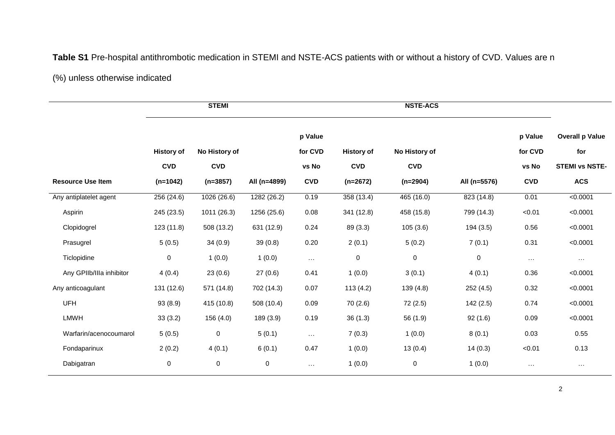### **Table S1** Pre-hospital antithrombotic medication in STEMI and NSTE-ACS patients with or without a history of CVD. Values are n

#### (%) unless otherwise indicated

|                          |                   | <b>STEMI</b>  |              |               |                   | <b>NSTE-ACS</b> |              |               |                        |
|--------------------------|-------------------|---------------|--------------|---------------|-------------------|-----------------|--------------|---------------|------------------------|
|                          |                   |               |              | p Value       |                   |                 |              | p Value       | <b>Overall p Value</b> |
|                          | <b>History of</b> | No History of |              | for CVD       | <b>History of</b> | No History of   |              | for CVD       | for                    |
|                          | <b>CVD</b>        | <b>CVD</b>    |              | vs No         | <b>CVD</b>        | <b>CVD</b>      |              | vs No         | <b>STEMI vs NSTE-</b>  |
| <b>Resource Use Item</b> | $(n=1042)$        | $(n=3857)$    | All (n=4899) | <b>CVD</b>    | $(n=2672)$        | $(n=2904)$      | All (n=5576) | <b>CVD</b>    | <b>ACS</b>             |
| Any antiplatelet agent   | 256(24.6)         | 1026(26.6)    | 1282(26.2)   | 0.19          | 358(13.4)         | 465(16.0)       | 823(14.8)    | 0.01          | < 0.0001               |
| Aspirin                  | 245 (23.5)        | 1011 (26.3)   | 1256 (25.6)  | 0.08          | 341 (12.8)        | 458 (15.8)      | 799 (14.3)   | < 0.01        | < 0.0001               |
| Clopidogrel              | 123(11.8)         | 508 (13.2)    | 631 (12.9)   | 0.24          | 89 (3.3)          | 105(3.6)        | 194 (3.5)    | 0.56          | < 0.0001               |
| Prasugrel                | 5(0.5)            | 34(0.9)       | 39(0.8)      | 0.20          | 2(0.1)            | 5(0.2)          | 7(0.1)       | 0.31          | < 0.0001               |
| Ticlopidine              | $\mathbf 0$       | 1(0.0)        | 1(0.0)       | $\sim$ $\sim$ | $\mathbf 0$       | $\mathbf 0$     | $\pmb{0}$    | $\sim$ $\sim$ | $\ldots$               |
| Any GPIIb/IIIa inhibitor | 4(0.4)            | 23(0.6)       | 27(0.6)      | 0.41          | 1(0.0)            | 3(0.1)          | 4(0.1)       | 0.36          | < 0.0001               |
| Any anticoagulant        | 131 (12.6)        | 571 (14.8)    | 702 (14.3)   | 0.07          | 113(4.2)          | 139 (4.8)       | 252(4.5)     | 0.32          | < 0.0001               |
| <b>UFH</b>               | 93(8.9)           | 415 (10.8)    | 508 (10.4)   | 0.09          | 70 (2.6)          | 72 (2.5)        | 142(2.5)     | 0.74          | < 0.0001               |
| <b>LMWH</b>              | 33(3.2)           | 156 (4.0)     | 189 (3.9)    | 0.19          | 36(1.3)           | 56 (1.9)        | 92(1.6)      | 0.09          | < 0.0001               |
| Warfarin/acenocoumarol   | 5(0.5)            | 0             | 5(0.1)       | $\sim$ .      | 7(0.3)            | 1(0.0)          | 8(0.1)       | 0.03          | 0.55                   |
| Fondaparinux             | 2(0.2)            | 4(0.1)        | 6(0.1)       | 0.47          | 1(0.0)            | 13(0.4)         | 14(0.3)      | < 0.01        | 0.13                   |
| Dabigatran               | $\pmb{0}$         | 0             | $\pmb{0}$    | $\cdots$      | 1(0.0)            | 0               | 1(0.0)       | $\ldots$      | $\sim$ $\sim$ $\sim$   |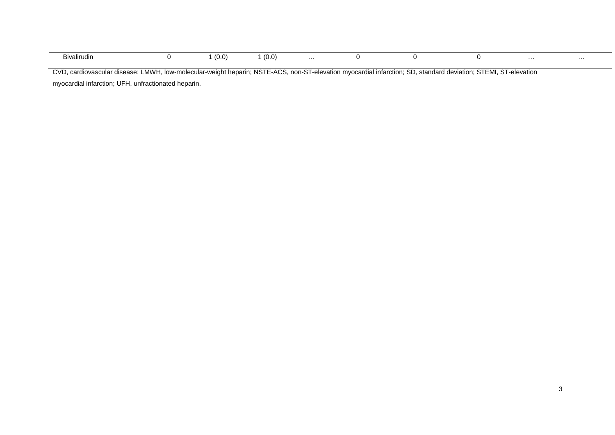| Bivalirudin | (0.0) | (0.0) | . |  | . | . |
|-------------|-------|-------|---|--|---|---|

CVD, cardiovascular disease; LMWH, low-molecular-weight heparin; NSTE-ACS, non-ST-elevation myocardial infarction; SD, standard deviation; STEMI, ST-elevation myocardial infarction; UFH, unfractionated heparin.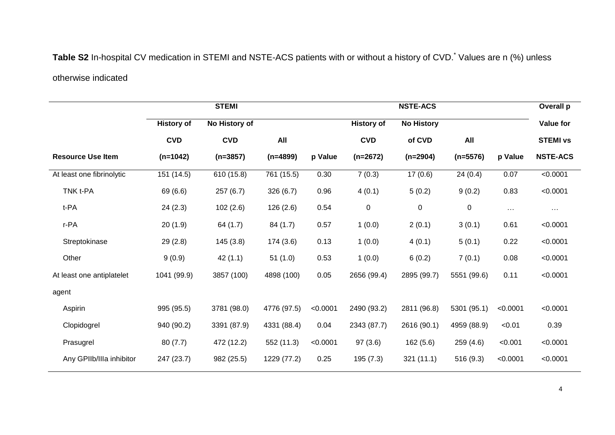## Table S2 In-hospital CV medication in STEMI and NSTE-ACS patients with or without a history of CVD.<sup>\*</sup> Values are n (%) unless otherwise indicated

|                           |                   | <b>STEMI</b>  |             |          |                   | <b>NSTE-ACS</b>   |             |          | Overall p        |
|---------------------------|-------------------|---------------|-------------|----------|-------------------|-------------------|-------------|----------|------------------|
|                           | <b>History of</b> | No History of |             |          | <b>History of</b> | <b>No History</b> |             |          | <b>Value for</b> |
|                           | <b>CVD</b>        | <b>CVD</b>    | All         |          | <b>CVD</b>        | of CVD            | All         |          | <b>STEMI vs</b>  |
| <b>Resource Use Item</b>  | $(n=1042)$        | $(n=3857)$    | $(n=4899)$  | p Value  | $(n=2672)$        | $(n=2904)$        | $(n=5576)$  | p Value  | <b>NSTE-ACS</b>  |
| At least one fibrinolytic | 151(14.5)         | 610 (15.8)    | 761 (15.5)  | 0.30     | 7(0.3)            | 17(0.6)           | 24(0.4)     | 0.07     | < 0.0001         |
| TNK t-PA                  | 69 (6.6)          | 257(6.7)      | 326(6.7)    | 0.96     | 4(0.1)            | 5(0.2)            | 9(0.2)      | 0.83     | < 0.0001         |
| t-PA                      | 24(2.3)           | 102(2.6)      | 126 (2.6)   | 0.54     | $\mathbf 0$       | $\pmb{0}$         | 0           | $\cdots$ | $\cdots$         |
| r-PA                      | 20(1.9)           | 64 (1.7)      | 84 (1.7)    | 0.57     | 1(0.0)            | 2(0.1)            | 3(0.1)      | 0.61     | < 0.0001         |
| Streptokinase             | 29(2.8)           | 145(3.8)      | 174 (3.6)   | 0.13     | 1(0.0)            | 4(0.1)            | 5(0.1)      | 0.22     | < 0.0001         |
| Other                     | 9(0.9)            | 42(1.1)       | 51(1.0)     | 0.53     | 1(0.0)            | 6(0.2)            | 7(0.1)      | 0.08     | < 0.0001         |
| At least one antiplatelet | 1041 (99.9)       | 3857 (100)    | 4898 (100)  | 0.05     | 2656 (99.4)       | 2895 (99.7)       | 5551 (99.6) | 0.11     | < 0.0001         |
| agent                     |                   |               |             |          |                   |                   |             |          |                  |
| Aspirin                   | 995 (95.5)        | 3781 (98.0)   | 4776 (97.5) | < 0.0001 | 2490 (93.2)       | 2811 (96.8)       | 5301 (95.1) | < 0.0001 | < 0.0001         |
| Clopidogrel               | 940 (90.2)        | 3391 (87.9)   | 4331 (88.4) | 0.04     | 2343 (87.7)       | 2616 (90.1)       | 4959 (88.9) | < 0.01   | 0.39             |
| Prasugrel                 | 80(7.7)           | 472 (12.2)    | 552 (11.3)  | < 0.0001 | 97(3.6)           | 162(5.6)          | 259(4.6)    | < 0.001  | < 0.0001         |
| Any GPIIb/IIIa inhibitor  | 247 (23.7)        | 982 (25.5)    | 1229 (77.2) | 0.25     | 195(7.3)          | 321(11.1)         | 516 (9.3)   | < 0.0001 | < 0.0001         |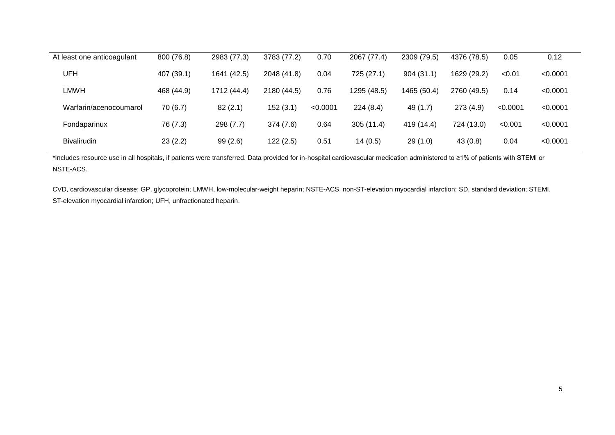| At least one anticoagulant | 800 (76.8) | 2983 (77.3) | 3783 (77.2) | 0.70     | 2067 (77.4) | 2309 (79.5) | 4376 (78.5) | 0.05     | 0.12     |
|----------------------------|------------|-------------|-------------|----------|-------------|-------------|-------------|----------|----------|
| UFH                        | 407 (39.1) | 1641 (42.5) | 2048 (41.8) | 0.04     | 725 (27.1)  | 904(31.1)   | 1629 (29.2) | < 0.01   | < 0.0001 |
| LMWH                       | 468 (44.9) | 1712 (44.4) | 2180 (44.5) | 0.76     | 1295 (48.5) | 1465 (50.4) | 2760 (49.5) | 0.14     | < 0.0001 |
| Warfarin/acenocoumarol     | 70(6.7)    | 82(2.1)     | 152(3.1)    | < 0.0001 | 224(8.4)    | 49 (1.7)    | 273(4.9)    | < 0.0001 | < 0.0001 |
| Fondaparinux               | 76 (7.3)   | 298(7.7)    | 374(7.6)    | 0.64     | 305(11.4)   | 419 (14.4)  | 724 (13.0)  | < 0.001  | < 0.0001 |
| <b>Bivalirudin</b>         | 23(2.2)    | 99(2.6)     | 122(2.5)    | 0.51     | 14(0.5)     | 29(1.0)     | 43(0.8)     | 0.04     | < 0.0001 |

\*Includes resource use in all hospitals, if patients were transferred. Data provided for in-hospital cardiovascular medication administered to ≥1% of patients with STEMI or NSTE-ACS.

CVD, cardiovascular disease; GP, glycoprotein; LMWH, low-molecular-weight heparin; NSTE-ACS, non-ST-elevation myocardial infarction; SD, standard deviation; STEMI, ST-elevation myocardial infarction; UFH, unfractionated heparin.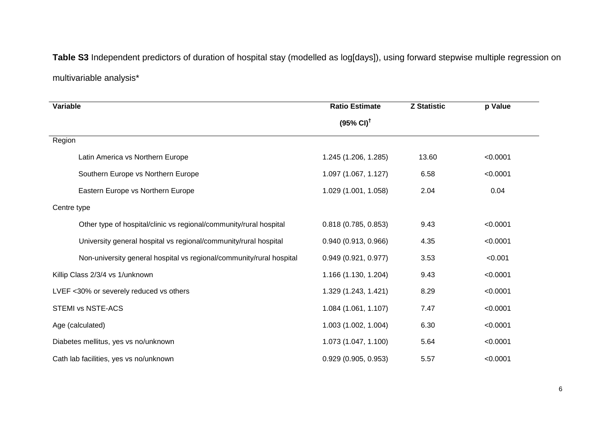**Table S3** Independent predictors of duration of hospital stay (modelled as log[days]), using forward stepwise multiple regression on multivariable analysis\*

| Variable                                                             | <b>Ratio Estimate</b>         | <b>Z Statistic</b> | p Value  |  |
|----------------------------------------------------------------------|-------------------------------|--------------------|----------|--|
|                                                                      | $(95\% \text{ Cl})^{\dagger}$ |                    |          |  |
| Region                                                               |                               |                    |          |  |
| Latin America vs Northern Europe                                     | 1.245 (1.206, 1.285)          | 13.60              | < 0.0001 |  |
| Southern Europe vs Northern Europe                                   | 1.097 (1.067, 1.127)          | 6.58               | < 0.0001 |  |
| Eastern Europe vs Northern Europe                                    | 1.029 (1.001, 1.058)          | 2.04               | 0.04     |  |
| Centre type                                                          |                               |                    |          |  |
| Other type of hospital/clinic vs regional/community/rural hospital   | 0.818(0.785, 0.853)           | 9.43               | < 0.0001 |  |
| University general hospital vs regional/community/rural hospital     | 0.940(0.913, 0.966)           | 4.35               | < 0.0001 |  |
| Non-university general hospital vs regional/community/rural hospital | 0.949(0.921, 0.977)           | 3.53               | < 0.001  |  |
| Killip Class 2/3/4 vs 1/unknown                                      | 1.166 (1.130, 1.204)          | 9.43               | < 0.0001 |  |
| LVEF <30% or severely reduced vs others                              | 1.329 (1.243, 1.421)          | 8.29               | < 0.0001 |  |
| <b>STEMI vs NSTE-ACS</b>                                             | 1.084 (1.061, 1.107)          | 7.47               | < 0.0001 |  |
| Age (calculated)                                                     | 1.003 (1.002, 1.004)          | 6.30               | < 0.0001 |  |
| Diabetes mellitus, yes vs no/unknown                                 | 1.073 (1.047, 1.100)          | 5.64               | < 0.0001 |  |
| Cath lab facilities, yes vs no/unknown                               | 0.929(0.905, 0.953)           | 5.57               | < 0.0001 |  |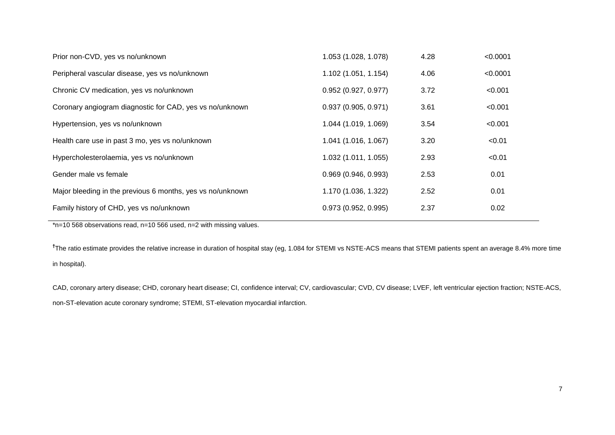| Prior non-CVD, yes vs no/unknown                           | 1.053 (1.028, 1.078) | 4.28 | < 0.0001 |
|------------------------------------------------------------|----------------------|------|----------|
| Peripheral vascular disease, yes vs no/unknown             | 1.102 (1.051, 1.154) | 4.06 | < 0.0001 |
| Chronic CV medication, yes vs no/unknown                   | 0.952(0.927, 0.977)  | 3.72 | < 0.001  |
| Coronary angiogram diagnostic for CAD, yes vs no/unknown   | 0.937(0.905, 0.971)  | 3.61 | < 0.001  |
| Hypertension, yes vs no/unknown                            | 1.044 (1.019, 1.069) | 3.54 | < 0.001  |
| Health care use in past 3 mo, yes vs no/unknown            | 1.041 (1.016, 1.067) | 3.20 | < 0.01   |
| Hypercholesterolaemia, yes vs no/unknown                   | 1.032 (1.011, 1.055) | 2.93 | < 0.01   |
| Gender male vs female                                      | 0.969(0.946, 0.993)  | 2.53 | 0.01     |
| Major bleeding in the previous 6 months, yes vs no/unknown | 1.170 (1.036, 1.322) | 2.52 | 0.01     |
| Family history of CHD, yes vs no/unknown                   | 0.973(0.952, 0.995)  | 2.37 | 0.02     |

\*n=10 568 observations read, n=10 566 used, n=2 with missing values.

**†** The ratio estimate provides the relative increase in duration of hospital stay (eg, 1.084 for STEMI vs NSTE-ACS means that STEMI patients spent an average 8.4% more time in hospital).

CAD, coronary artery disease; CHD, coronary heart disease; CI, confidence interval; CV, cardiovascular; CVD, CV disease; LVEF, left ventricular ejection fraction; NSTE-ACS, non-ST-elevation acute coronary syndrome; STEMI, ST-elevation myocardial infarction.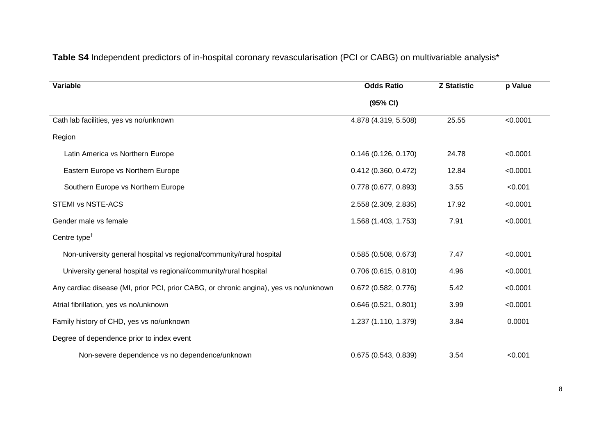| Variable                                                                              | <b>Odds Ratio</b>      | <b>Z Statistic</b> | p Value  |  |
|---------------------------------------------------------------------------------------|------------------------|--------------------|----------|--|
|                                                                                       | (95% CI)               |                    |          |  |
| Cath lab facilities, yes vs no/unknown                                                | 4.878 (4.319, 5.508)   | 25.55              | < 0.0001 |  |
| Region                                                                                |                        |                    |          |  |
| Latin America vs Northern Europe                                                      | 0.146(0.126, 0.170)    | 24.78              | < 0.0001 |  |
| Eastern Europe vs Northern Europe                                                     | 0.412(0.360, 0.472)    | 12.84              | < 0.0001 |  |
| Southern Europe vs Northern Europe                                                    | 0.778 (0.677, 0.893)   | 3.55               | < 0.001  |  |
| <b>STEMI vs NSTE-ACS</b>                                                              | 2.558 (2.309, 2.835)   | 17.92              | < 0.0001 |  |
| Gender male vs female                                                                 | 1.568 (1.403, 1.753)   | 7.91               | < 0.0001 |  |
| Centre type <sup><math>†</math></sup>                                                 |                        |                    |          |  |
| Non-university general hospital vs regional/community/rural hospital                  | 0.585(0.508, 0.673)    | 7.47               | < 0.0001 |  |
| University general hospital vs regional/community/rural hospital                      | $0.706$ (0.615, 0.810) | 4.96               | < 0.0001 |  |
| Any cardiac disease (MI, prior PCI, prior CABG, or chronic angina), yes vs no/unknown | $0.672$ (0.582, 0.776) | 5.42               | < 0.0001 |  |
| Atrial fibrillation, yes vs no/unknown                                                | 0.646(0.521, 0.801)    | 3.99               | < 0.0001 |  |
| Family history of CHD, yes vs no/unknown                                              | 1.237 (1.110, 1.379)   | 3.84               | 0.0001   |  |
| Degree of dependence prior to index event                                             |                        |                    |          |  |
| Non-severe dependence vs no dependence/unknown                                        | 0.675(0.543, 0.839)    | 3.54               | < 0.001  |  |

### **Table S4** Independent predictors of in-hospital coronary revascularisation (PCI or CABG) on multivariable analysis\*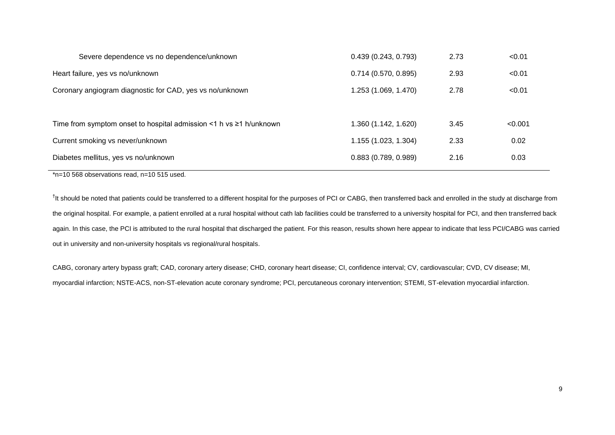| Severe dependence vs no dependence/unknown                                     | 0.439(0.243, 0.793)  | 2.73 | < 0.01  |
|--------------------------------------------------------------------------------|----------------------|------|---------|
| Heart failure, yes vs no/unknown                                               | 0.714(0.570, 0.895)  | 2.93 | < 0.01  |
| Coronary angiogram diagnostic for CAD, yes vs no/unknown                       | 1.253 (1.069, 1.470) | 2.78 | < 0.01  |
|                                                                                |                      |      |         |
| Time from symptom onset to hospital admission $\leq 1$ h vs $\geq 1$ h/unknown | 1.360 (1.142, 1.620) | 3.45 | < 0.001 |
| Current smoking vs never/unknown                                               | 1.155 (1.023, 1.304) | 2.33 | 0.02    |
| Diabetes mellitus, yes vs no/unknown                                           | 0.883(0.789, 0.989)  | 2.16 | 0.03    |
|                                                                                |                      |      |         |

\*n=10 568 observations read, n=10 515 used.

<sup>†</sup>It should be noted that patients could be transferred to a different hospital for the purposes of PCI or CABG, then transferred back and enrolled in the study at discharge from the original hospital. For example, a patient enrolled at a rural hospital without cath lab facilities could be transferred to a university hospital for PCI, and then transferred back again. In this case, the PCI is attributed to the rural hospital that discharged the patient. For this reason, results shown here appear to indicate that less PCI/CABG was carried out in university and non-university hospitals vs regional/rural hospitals.

CABG, coronary artery bypass graft; CAD, coronary artery disease; CHD, coronary heart disease; CI, confidence interval; CV, cardiovascular; CVD, CV disease; MI, myocardial infarction; NSTE-ACS, non-ST-elevation acute coronary syndrome; PCI, percutaneous coronary intervention; STEMI, ST-elevation myocardial infarction.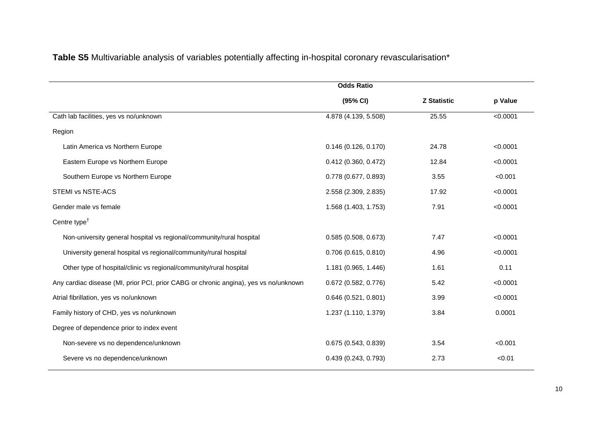**Table S5** Multivariable analysis of variables potentially affecting in-hospital coronary revascularisation\*

|                                                                                      | <b>Odds Ratio</b>      |                    |          |
|--------------------------------------------------------------------------------------|------------------------|--------------------|----------|
|                                                                                      | (95% CI)               | <b>Z Statistic</b> | p Value  |
| Cath lab facilities, yes vs no/unknown                                               | 4.878 (4.139, 5.508)   | 25.55              | < 0.0001 |
| Region                                                                               |                        |                    |          |
| Latin America vs Northern Europe                                                     | 0.146(0.126, 0.170)    | 24.78              | < 0.0001 |
| Eastern Europe vs Northern Europe                                                    | 0.412(0.360, 0.472)    | 12.84              | < 0.0001 |
| Southern Europe vs Northern Europe                                                   | 0.778 (0.677, 0.893)   | 3.55               | < 0.001  |
| STEMI vs NSTE-ACS                                                                    | 2.558 (2.309, 2.835)   | 17.92              | < 0.0001 |
| Gender male vs female                                                                | 1.568 (1.403, 1.753)   | 7.91               | < 0.0001 |
| Centre type <sup><math>†</math></sup>                                                |                        |                    |          |
| Non-university general hospital vs regional/community/rural hospital                 | 0.585(0.508, 0.673)    | 7.47               | < 0.0001 |
| University general hospital vs regional/community/rural hospital                     | $0.706$ (0.615, 0.810) | 4.96               | < 0.0001 |
| Other type of hospital/clinic vs regional/community/rural hospital                   | 1.181 (0.965, 1.446)   | 1.61               | 0.11     |
| Any cardiac disease (MI, prior PCI, prior CABG or chronic angina), yes vs no/unknown | $0.672$ (0.582, 0.776) | 5.42               | < 0.0001 |
| Atrial fibrillation, yes vs no/unknown                                               | 0.646(0.521, 0.801)    | 3.99               | < 0.0001 |
| Family history of CHD, yes vs no/unknown                                             | 1.237 (1.110, 1.379)   | 3.84               | 0.0001   |
| Degree of dependence prior to index event                                            |                        |                    |          |
| Non-severe vs no dependence/unknown                                                  | 0.675(0.543, 0.839)    | 3.54               | < 0.001  |
| Severe vs no dependence/unknown                                                      | 0.439(0.243, 0.793)    | 2.73               | < 0.01   |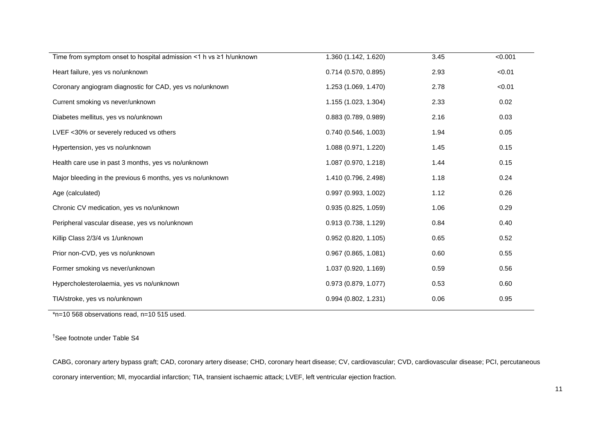| Time from symptom onset to hospital admission <1 h vs $\geq$ 1 h/unknown | 1.360 (1.142, 1.620)   | 3.45 | < 0.001 |
|--------------------------------------------------------------------------|------------------------|------|---------|
| Heart failure, yes vs no/unknown                                         | $0.714$ (0.570, 0.895) | 2.93 | < 0.01  |
| Coronary angiogram diagnostic for CAD, yes vs no/unknown                 | 1.253 (1.069, 1.470)   | 2.78 | < 0.01  |
| Current smoking vs never/unknown                                         | 1.155 (1.023, 1.304)   | 2.33 | 0.02    |
| Diabetes mellitus, yes vs no/unknown                                     | 0.883(0.789, 0.989)    | 2.16 | 0.03    |
| LVEF <30% or severely reduced vs others                                  | 0.740(0.546, 1.003)    | 1.94 | 0.05    |
| Hypertension, yes vs no/unknown                                          | 1.088 (0.971, 1.220)   | 1.45 | 0.15    |
| Health care use in past 3 months, yes vs no/unknown                      | 1.087 (0.970, 1.218)   | 1.44 | 0.15    |
| Major bleeding in the previous 6 months, yes vs no/unknown               | 1.410 (0.796, 2.498)   | 1.18 | 0.24    |
| Age (calculated)                                                         | 0.997(0.993, 1.002)    | 1.12 | 0.26    |
| Chronic CV medication, yes vs no/unknown                                 | 0.935(0.825, 1.059)    | 1.06 | 0.29    |
| Peripheral vascular disease, yes vs no/unknown                           | 0.913(0.738, 1.129)    | 0.84 | 0.40    |
| Killip Class 2/3/4 vs 1/unknown                                          | $0.952$ (0.820, 1.105) | 0.65 | 0.52    |
| Prior non-CVD, yes vs no/unknown                                         | $0.967$ (0.865, 1.081) | 0.60 | 0.55    |
| Former smoking vs never/unknown                                          | 1.037 (0.920, 1.169)   | 0.59 | 0.56    |
| Hypercholesterolaemia, yes vs no/unknown                                 | 0.973 (0.879, 1.077)   | 0.53 | 0.60    |
| TIA/stroke, yes vs no/unknown                                            | 0.994(0.802, 1.231)    | 0.06 | 0.95    |
|                                                                          |                        |      |         |

\*n=10 568 observations read, n=10 515 used.

† See footnote under Table S4

CABG, coronary artery bypass graft; CAD, coronary artery disease; CHD, coronary heart disease; CV, cardiovascular; CVD, cardiovascular disease; PCI, percutaneous coronary intervention; MI, myocardial infarction; TIA, transient ischaemic attack; LVEF, left ventricular ejection fraction.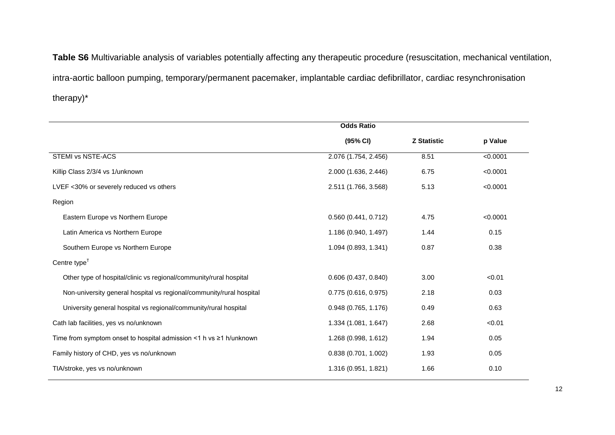**Table S6** Multivariable analysis of variables potentially affecting any therapeutic procedure (resuscitation, mechanical ventilation, intra-aortic balloon pumping, temporary/permanent pacemaker, implantable cardiac defibrillator, cardiac resynchronisation therapy)\*

|                                                                          | <b>Odds Ratio</b>      |                    |          |
|--------------------------------------------------------------------------|------------------------|--------------------|----------|
|                                                                          | (95% CI)               | <b>Z Statistic</b> | p Value  |
| STEMI vs NSTE-ACS                                                        | 2.076 (1.754, 2.456)   | 8.51               | < 0.0001 |
| Killip Class 2/3/4 vs 1/unknown                                          | 2.000 (1.636, 2.446)   | 6.75               | < 0.0001 |
| LVEF <30% or severely reduced vs others                                  | 2.511 (1.766, 3.568)   | 5.13               | < 0.0001 |
| Region                                                                   |                        |                    |          |
| Eastern Europe vs Northern Europe                                        | 0.560(0.441, 0.712)    | 4.75               | < 0.0001 |
| Latin America vs Northern Europe                                         | 1.186 (0.940, 1.497)   | 1.44               | 0.15     |
| Southern Europe vs Northern Europe                                       | 1.094 (0.893, 1.341)   | 0.87               | 0.38     |
| Centre type <sup><math>†</math></sup>                                    |                        |                    |          |
| Other type of hospital/clinic vs regional/community/rural hospital       | $0.606$ (0.437, 0.840) | 3.00               | < 0.01   |
| Non-university general hospital vs regional/community/rural hospital     | 0.775(0.616, 0.975)    | 2.18               | 0.03     |
| University general hospital vs regional/community/rural hospital         | $0.948$ (0.765, 1.176) | 0.49               | 0.63     |
| Cath lab facilities, yes vs no/unknown                                   | 1.334 (1.081, 1.647)   | 2.68               | < 0.01   |
| Time from symptom onset to hospital admission <1 h vs $\geq$ 1 h/unknown | 1.268 (0.998, 1.612)   | 1.94               | 0.05     |
| Family history of CHD, yes vs no/unknown                                 | 0.838(0.701, 1.002)    | 1.93               | 0.05     |
| TIA/stroke, yes vs no/unknown                                            | 1.316 (0.951, 1.821)   | 1.66               | 0.10     |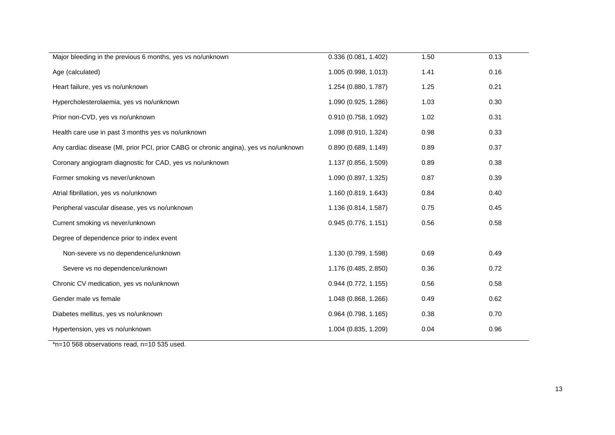| Major bleeding in the previous 6 months, yes vs no/unknown                           | 0.336 (0.081, 1.402)   | 1.50 | 0.13 |
|--------------------------------------------------------------------------------------|------------------------|------|------|
| Age (calculated)                                                                     | 1.005 (0.998, 1.013)   | 1.41 | 0.16 |
| Heart failure, yes vs no/unknown                                                     | 1.254 (0.880, 1.787)   | 1.25 | 0.21 |
| Hypercholesterolaemia, yes vs no/unknown                                             | 1.090 (0.925, 1.286)   | 1.03 | 0.30 |
| Prior non-CVD, yes vs no/unknown                                                     | 0.910(0.758, 1.092)    | 1.02 | 0.31 |
| Health care use in past 3 months yes vs no/unknown                                   | 1.098 (0.910, 1.324)   | 0.98 | 0.33 |
| Any cardiac disease (MI, prior PCI, prior CABG or chronic angina), yes vs no/unknown | 0.890(0.689, 1.149)    | 0.89 | 0.37 |
| Coronary angiogram diagnostic for CAD, yes vs no/unknown                             | 1.137 (0.856, 1.509)   | 0.89 | 0.38 |
| Former smoking vs never/unknown                                                      | 1.090 (0.897, 1.325)   | 0.87 | 0.39 |
| Atrial fibrillation, yes vs no/unknown                                               | 1.160 (0.819, 1.643)   | 0.84 | 0.40 |
| Peripheral vascular disease, yes vs no/unknown                                       | 1.136 (0.814, 1.587)   | 0.75 | 0.45 |
| Current smoking vs never/unknown                                                     | 0.945(0.776, 1.151)    | 0.56 | 0.58 |
| Degree of dependence prior to index event                                            |                        |      |      |
| Non-severe vs no dependence/unknown                                                  | 1.130 (0.799, 1.598)   | 0.69 | 0.49 |
| Severe vs no dependence/unknown                                                      | 1.176 (0.485, 2.850)   | 0.36 | 0.72 |
| Chronic CV medication, yes vs no/unknown                                             | $0.944$ (0.772, 1.155) | 0.56 | 0.58 |
| Gender male vs female                                                                | 1.048 (0.868, 1.266)   | 0.49 | 0.62 |
| Diabetes mellitus, yes vs no/unknown                                                 | 0.964 (0.798, 1.165)   | 0.38 | 0.70 |
| Hypertension, yes vs no/unknown                                                      | 1.004 (0.835, 1.209)   | 0.04 | 0.96 |

\*n=10 568 observations read, n=10 535 used.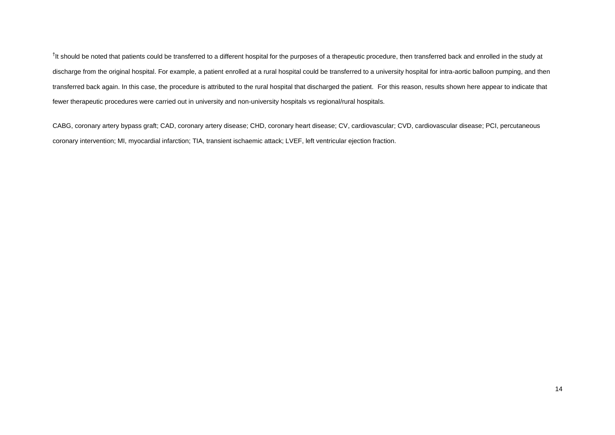<sup>†</sup>It should be noted that patients could be transferred to a different hospital for the purposes of a therapeutic procedure, then transferred back and enrolled in the study at discharge from the original hospital. For example, a patient enrolled at a rural hospital could be transferred to a university hospital for intra-aortic balloon pumping, and then transferred back again. In this case, the procedure is attributed to the rural hospital that discharged the patient. For this reason, results shown here appear to indicate that fewer therapeutic procedures were carried out in university and non-university hospitals vs regional/rural hospitals.

CABG, coronary artery bypass graft; CAD, coronary artery disease; CHD, coronary heart disease; CV, cardiovascular; CVD, cardiovascular disease; PCI, percutaneous coronary intervention; MI, myocardial infarction; TIA, transient ischaemic attack; LVEF, left ventricular ejection fraction.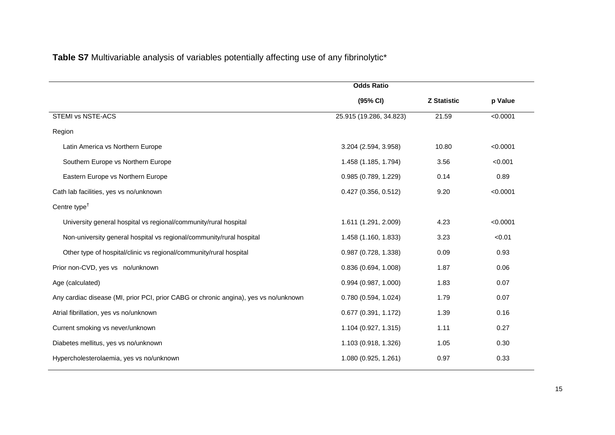**Table S7** Multivariable analysis of variables potentially affecting use of any fibrinolytic\*

|                                                                                      | <b>Odds Ratio</b>       |                    |          |
|--------------------------------------------------------------------------------------|-------------------------|--------------------|----------|
|                                                                                      | (95% CI)                | <b>Z Statistic</b> | p Value  |
| <b>STEMI vs NSTE-ACS</b>                                                             | 25.915 (19.286, 34.823) | 21.59              | < 0.0001 |
| Region                                                                               |                         |                    |          |
| Latin America vs Northern Europe                                                     | 3.204 (2.594, 3.958)    | 10.80              | < 0.0001 |
| Southern Europe vs Northern Europe                                                   | 1.458 (1.185, 1.794)    | 3.56               | < 0.001  |
| Eastern Europe vs Northern Europe                                                    | 0.985 (0.789, 1.229)    | 0.14               | 0.89     |
| Cath lab facilities, yes vs no/unknown                                               | $0.427$ (0.356, 0.512)  | 9.20               | < 0.0001 |
| Centre type <sup><math>†</math></sup>                                                |                         |                    |          |
| University general hospital vs regional/community/rural hospital                     | 1.611 (1.291, 2.009)    | 4.23               | < 0.0001 |
| Non-university general hospital vs regional/community/rural hospital                 | 1.458 (1.160, 1.833)    | 3.23               | < 0.01   |
| Other type of hospital/clinic vs regional/community/rural hospital                   | 0.987 (0.728, 1.338)    | 0.09               | 0.93     |
| Prior non-CVD, yes vs no/unknown                                                     | 0.836(0.694, 1.008)     | 1.87               | 0.06     |
| Age (calculated)                                                                     | 0.994(0.987, 1.000)     | 1.83               | 0.07     |
| Any cardiac disease (MI, prior PCI, prior CABG or chronic angina), yes vs no/unknown | 0.780(0.594, 1.024)     | 1.79               | 0.07     |
| Atrial fibrillation, yes vs no/unknown                                               | 0.677(0.391, 1.172)     | 1.39               | 0.16     |
| Current smoking vs never/unknown                                                     | 1.104 (0.927, 1.315)    | 1.11               | 0.27     |
| Diabetes mellitus, yes vs no/unknown                                                 | 1.103 (0.918, 1.326)    | 1.05               | 0.30     |
| Hypercholesterolaemia, yes vs no/unknown                                             | 1.080 (0.925, 1.261)    | 0.97               | 0.33     |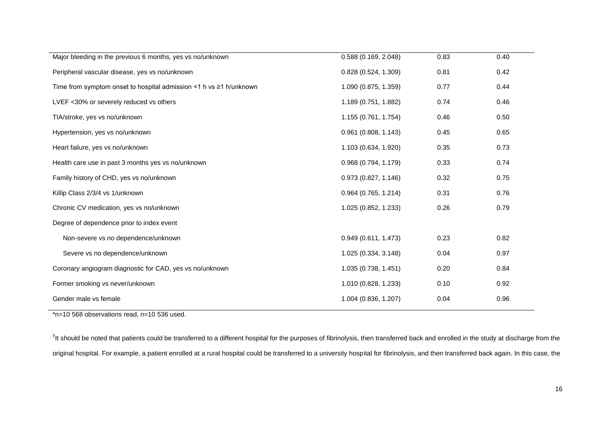| Major bleeding in the previous 6 months, yes vs no/unknown               | 0.588 (0.169, 2.048)   | 0.83 | 0.40 |
|--------------------------------------------------------------------------|------------------------|------|------|
| Peripheral vascular disease, yes vs no/unknown                           | 0.828(0.524, 1.309)    | 0.81 | 0.42 |
| Time from symptom onset to hospital admission <1 h vs $\geq$ 1 h/unknown | 1.090 (0.875, 1.359)   | 0.77 | 0.44 |
| LVEF <30% or severely reduced vs others                                  | 1.189 (0.751, 1.882)   | 0.74 | 0.46 |
| TIA/stroke, yes vs no/unknown                                            | 1.155 (0.761, 1.754)   | 0.46 | 0.50 |
| Hypertension, yes vs no/unknown                                          | $0.961$ (0.808, 1.143) | 0.45 | 0.65 |
| Heart failure, yes vs no/unknown                                         | 1.103 (0.634, 1.920)   | 0.35 | 0.73 |
| Health care use in past 3 months yes vs no/unknown                       | 0.968 (0.794, 1.179)   | 0.33 | 0.74 |
| Family history of CHD, yes vs no/unknown                                 | 0.973(0.827, 1.146)    | 0.32 | 0.75 |
| Killip Class 2/3/4 vs 1/unknown                                          | $0.964$ (0.765, 1.214) | 0.31 | 0.76 |
| Chronic CV medication, yes vs no/unknown                                 | 1.025 (0.852, 1.233)   | 0.26 | 0.79 |
| Degree of dependence prior to index event                                |                        |      |      |
| Non-severe vs no dependence/unknown                                      | 0.949(0.611, 1.473)    | 0.23 | 0.82 |
| Severe vs no dependence/unknown                                          | 1.025 (0.334, 3.148)   | 0.04 | 0.97 |
| Coronary angiogram diagnostic for CAD, yes vs no/unknown                 | 1.035 (0.738, 1.451)   | 0.20 | 0.84 |
| Former smoking vs never/unknown                                          | 1.010 (0.828, 1.233)   | 0.10 | 0.92 |
| Gender male vs female                                                    | 1.004 (0.836, 1.207)   | 0.04 | 0.96 |
|                                                                          |                        |      |      |

\*n=10 568 observations read, n=10 536 used.

<sup>†</sup>It should be noted that patients could be transferred to a different hospital for the purposes of fibrinolysis, then transferred back and enrolled in the study at discharge from the original hospital. For example, a patient enrolled at a rural hospital could be transferred to a university hospital for fibrinolysis, and then transferred back again. In this case, the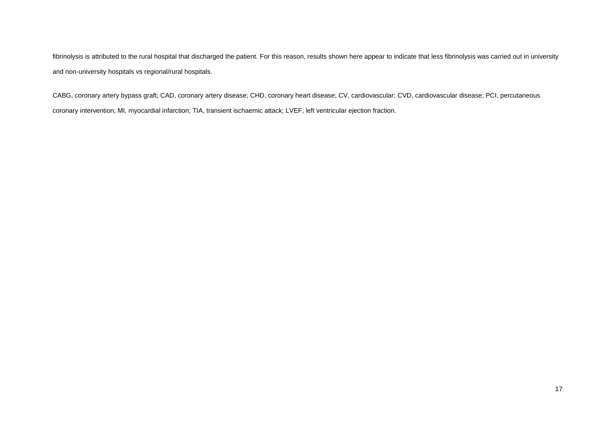fibrinolysis is attributed to the rural hospital that discharged the patient. For this reason, results shown here appear to indicate that less fibrinolysis was carried out in university and non-university hospitals vs regional/rural hospitals.

CABG, coronary artery bypass graft; CAD, coronary artery disease; CHD, coronary heart disease; CV, cardiovascular; CVD, cardiovascular disease; PCI, percutaneous coronary intervention; MI, myocardial infarction; TIA, transient ischaemic attack; LVEF, left ventricular ejection fraction.